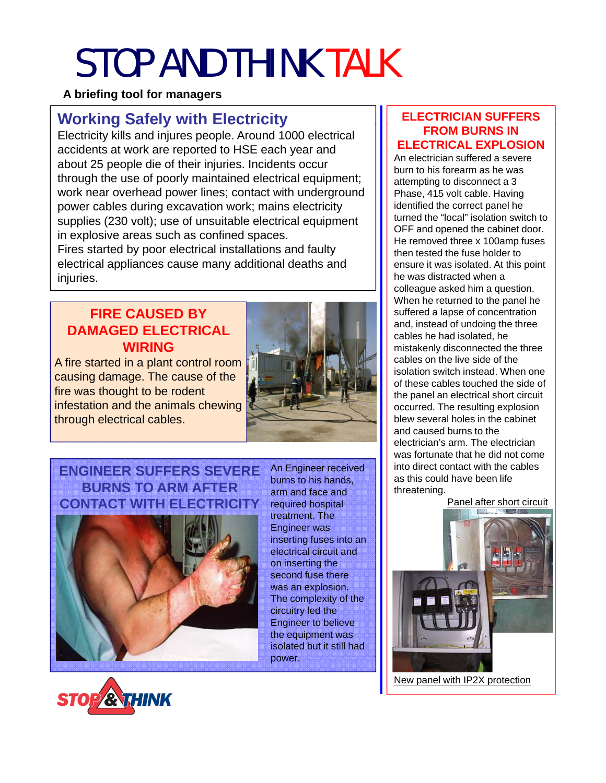# STOP AND THINK TALK

### **A briefing tool for managers**

## **Working Safely with Electricity**  $\left|\right|$  **ELECTRICIAN SUFFERS**

Electricity kills and injures people. Around 1000 electrical accidents at work are reported to HSE each year and about 25 people die of their injuries. Incidents occur through the use of poorly maintained electrical equipment; work near overhead power lines; contact with underground power cables during excavation work; mains electricity supplies (230 volt); use of unsuitable electrical equipment in explosive areas such as confined spaces. Fires started by poor electrical installations and faulty electrical appliances cause many additional deaths and

## **FIRE CAUSED BY DAMAGED ELECTRICAL WIRING**

injuries.

A fire started in a plant control room causing damage. The cause of the  $\frac{1}{\frac{1}{\sqrt{1+\frac{1}{\sqrt{1+\frac{1}{\sqrt{1+\frac{1}{\sqrt{1+\frac{1}{\sqrt{1+\frac{1}{\sqrt{1+\frac{1}{\sqrt{1+\frac{1}{\sqrt{1+\frac{1}{\sqrt{1+\frac{1}{\sqrt{1+\frac{1}{\sqrt{1+\frac{1}{\sqrt{1+\frac{1}{\sqrt{1+\frac{1}{\sqrt{1+\frac{1}{\sqrt{1+\frac{1}{\sqrt{1+\frac{1}{\sqrt{1+\frac{1}{\sqrt{1+\frac{1}{\sqrt{1+\frac{1}{\sqrt{1+\frac{1}{\sqrt{1+\frac{1}{\sqrt{1+\frac{1}{\sqrt{1+\frac{1}{\sqrt{$ infestation and the animals chewing through electrical cables.



## **ENGINEER SUFFERS SEVERE** An Engineer received **BURNS TO ARM AFTER CONTACT WITH ELECTRICITY**



burns to his hands, arm and face and required hospital treatment. The Engineer was inserting fuses into an electrical circuit and on inserting the second fuse there was an explosion. The complexity of the circuitry led the Engineer to believe the equipment was isolated but it still had power .



An electrician suffered a severe burn to his forearm as he was attempting to disconnect a 3 Phase, 415 volt cable. Having identified the correct panel he turned the "local" isolation switch to OFF and opened the cabinet door. He removed three x 100amp fuses then tested the fuse holder to ensure it was isolated. At this point he was distracted when a colleague asked him a question. When he returned to the panel he When he returned to the panel suffered a lapse of concentration and, instead of undoing the three cables he had isolated, he mistakenly disconnected the three cables on the live side of the isolation switch instead. When one the panel an electrical short circuit occurred. The resulting explosion blew several holes in the cabinet and caused burns to the electrician's arm. The electrician was fortunate that he did not come into direct contact with the cables as this could have been life threatening.

Panel after short circuit



New panel with IP2X protection

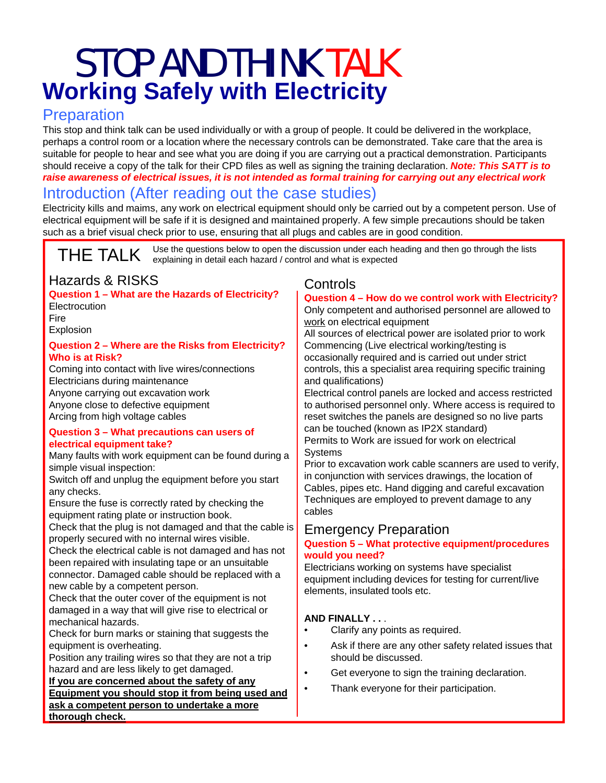## STOP AND THINK TALK **Working Safely with Electricity**

## **Preparation**

This stop and think talk can be used individually or with a group of people. It could be delivered in the workplace, perhaps a control room or a location where the necessary controls can be demonstrated. Take care that the area is suitable for people to hear and see what you are doing if you are carrying out a practical demonstration. Participants should receive a copy of the talk for their CPD files as well as signing the training declaration. *Note: This SATT is to raise awareness of electrical issues, it is not intended as formal training for carrying out any electrical work*

## Introduction (After reading out the case studies)

Electricity kills and maims, any work on electrical equipment should only be carried out by a competent person. Use of electrical equipment will be safe if it is designed and maintained properly. A few simple precautions should be taken such as a brief visual check prior to use, ensuring that all plugs and cables are in good condition.

THE TALK Use the questions below to open the discussion under each heading and then go through the lists explaining in detail each hazard / control and what is expected

## Hazards & RISKS

#### **Question 1 – What are the Hazards of Electricity? Electrocution**

Fire Explosion

#### **Question 2 – Where are the Risks from Electricity? Who is at Risk?**

Coming into contact with live wires/connections Electricians during maintenance Anyone carrying out excavation work Anyone close to defective equipment Arcing from high voltage cables

#### **Question 3 – What precautions can users of electrical equipment take?**

Many faults with work equipment can be found during a simple visual inspection:

any checks.

Ensure the fuse is correctly rated by checking the equipment rating plate or instruction book.

Check that the plug is not damaged and that the cable is properly secured with no internal wires visible.

Check the electrical cable is not damaged and has not been repaired with insulating tape or an unsuitable connector. Damaged cable should be replaced with a new cable by a competent person.

Check that the outer cover of the equipment is not damaged in a way that will give rise to electrical or mechanical hazards.

Check for burn marks or staining that suggests the equipment is overheating.

Position any trailing wires so that they are not a trip should be discussed hazard and are less likely to get damaged.

#### **If you are concerned about the safety of any**

**Equipment you should stop it from being used and ask a competent person to undertake a more thorough check.**

### **Controls**

#### **Question 4 – How do we control work with Electricity? y**

Only competent and authorised personnel are allowed to work on electrical equipment

All sources of electrical power are isolated prior to work Commencing (Live electrical working/testing is occasionally required and is carried out under strict controls, this a specialist area requiring specific training and qualifications)

Anyone carrying out excavation work **Electrical control panels are locked and access restricted** to authorised personnel only. Where access is required to reset switches the panels are designed so no live parts can be touched (known as IP2X standard) Permits to Work are issued for work on electrical **Systems** 

Switch off and unplug the equipment before you start Fig. in conjunction with services drawings, the location of Prior to excavation work cable scanners are used to verify, in conjunction with services drawings, the location of Cables, pipes etc. Hand digging and careful excavation Techniques are employed to prevent damage to any cables

## Emergency Preparation

#### **Question 5 – What protective equipment/procedures would you need?**

Electricians working on systems have equipment including devices for testing for current/live elements, insulated tools etc.

#### **AND FINALLY . .** .

- Clarify any points as required.
- Ask if there are any other safety related issues that should be discussed.
- Get everyone to sign the training declaration.
- Thank everyone for their participation.